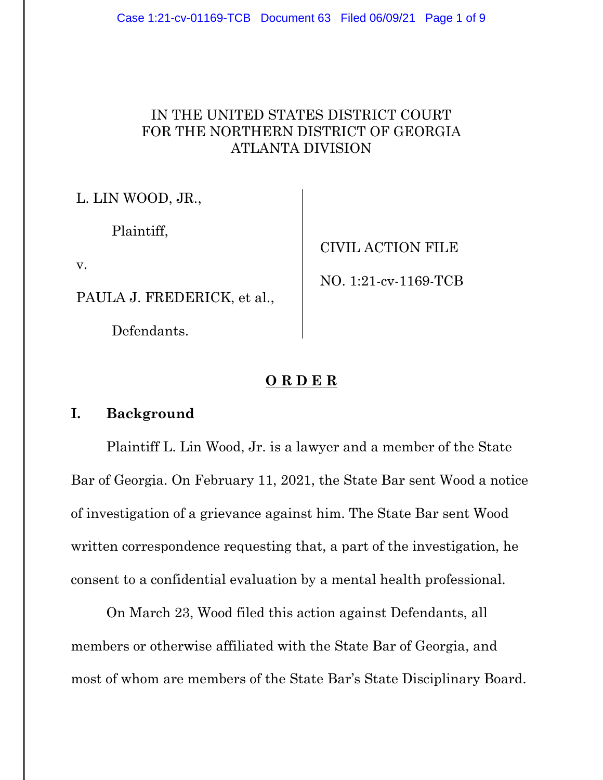# IN THE UNITED STATES DISTRICT COURT FOR THE NORTHERN DISTRICT OF GEORGIA ATLANTA DIVISION

L. LIN WOOD, JR.,

Plaintiff,

v.

PAULA J. FREDERICK, et al.,

Defendants.

CIVIL ACTION FILE

NO. 1:21-cv-1169-TCB

### **O R D E R**

### **I. Background**

Plaintiff L. Lin Wood, Jr. is a lawyer and a member of the State Bar of Georgia. On February 11, 2021, the State Bar sent Wood a notice of investigation of a grievance against him. The State Bar sent Wood written correspondence requesting that, a part of the investigation, he consent to a confidential evaluation by a mental health professional.

On March 23, Wood filed this action against Defendants, all members or otherwise affiliated with the State Bar of Georgia, and most of whom are members of the State Bar's State Disciplinary Board.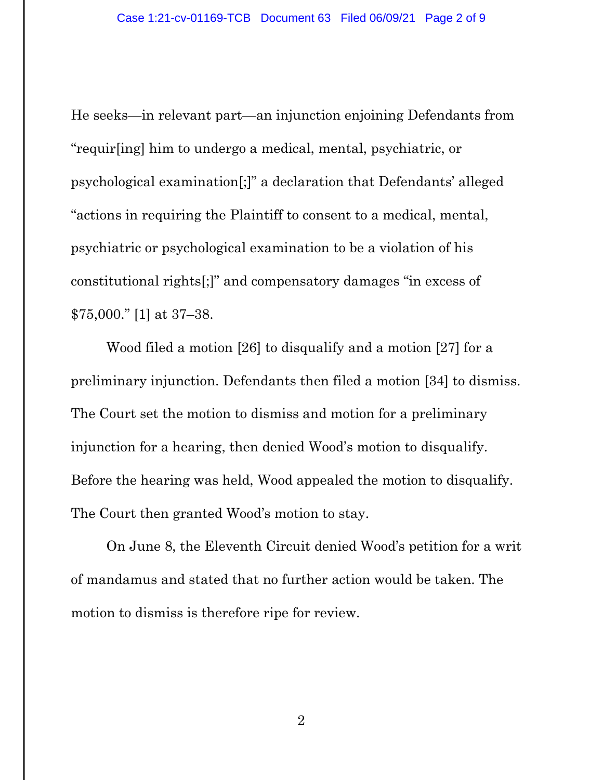He seeks—in relevant part—an injunction enjoining Defendants from "requir[ing] him to undergo a medical, mental, psychiatric, or psychological examination[;]" a declaration that Defendants' alleged "actions in requiring the Plaintiff to consent to a medical, mental, psychiatric or psychological examination to be a violation of his constitutional rights[;]" and compensatory damages "in excess of \$75,000." [1] at 37–38.

Wood filed a motion [26] to disqualify and a motion [27] for a preliminary injunction. Defendants then filed a motion [34] to dismiss. The Court set the motion to dismiss and motion for a preliminary injunction for a hearing, then denied Wood's motion to disqualify. Before the hearing was held, Wood appealed the motion to disqualify. The Court then granted Wood's motion to stay.

On June 8, the Eleventh Circuit denied Wood's petition for a writ of mandamus and stated that no further action would be taken. The motion to dismiss is therefore ripe for review.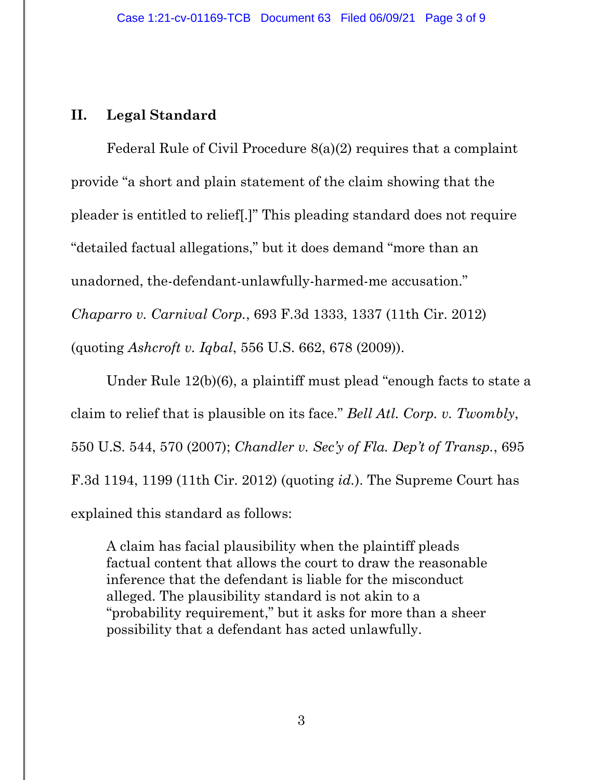## **II. Legal Standard**

Federal Rule of Civil Procedure 8(a)(2) requires that a complaint provide "a short and plain statement of the claim showing that the pleader is entitled to relief[.]" This pleading standard does not require "detailed factual allegations," but it does demand "more than an unadorned, the-defendant-unlawfully-harmed-me accusation." *Chaparro v. Carnival Corp.*, 693 F.3d 1333, 1337 (11th Cir. 2012) (quoting *Ashcroft v. Iqbal*, 556 U.S. 662, 678 (2009)).

Under Rule 12(b)(6), a plaintiff must plead "enough facts to state a claim to relief that is plausible on its face." *Bell Atl. Corp. v. Twombly*, 550 U.S. 544, 570 (2007); *Chandler v. Sec'y of Fla. Dep't of Transp.*, 695 F.3d 1194, 1199 (11th Cir. 2012) (quoting *id.*). The Supreme Court has explained this standard as follows:

A claim has facial plausibility when the plaintiff pleads factual content that allows the court to draw the reasonable inference that the defendant is liable for the misconduct alleged. The plausibility standard is not akin to a "probability requirement," but it asks for more than a sheer possibility that a defendant has acted unlawfully.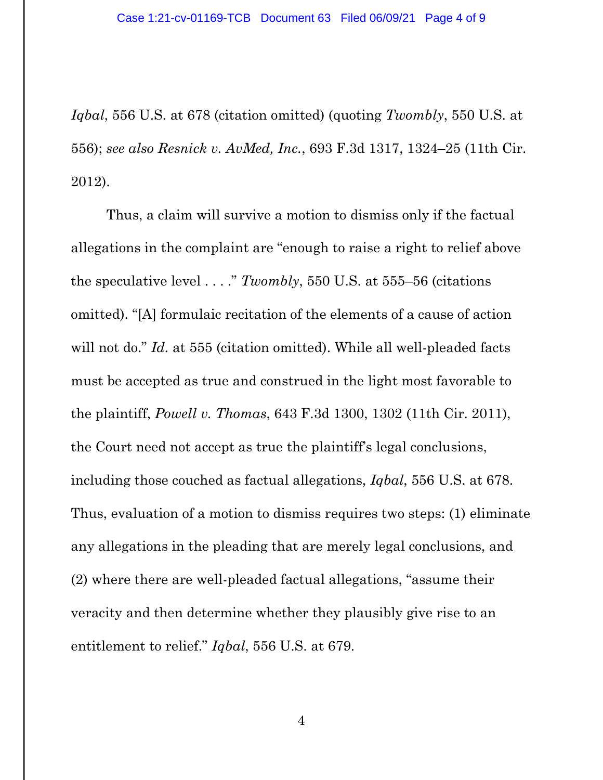*Iqbal*, 556 U.S. at 678 (citation omitted) (quoting *Twombly*, 550 U.S. at 556); *see also Resnick v. AvMed, Inc.*, 693 F.3d 1317, 1324–25 (11th Cir. 2012).

Thus, a claim will survive a motion to dismiss only if the factual allegations in the complaint are "enough to raise a right to relief above the speculative level . . . ." *Twombly*, 550 U.S. at 555–56 (citations omitted). "[A] formulaic recitation of the elements of a cause of action will not do." *Id.* at 555 (citation omitted). While all well-pleaded facts must be accepted as true and construed in the light most favorable to the plaintiff, *Powell v. Thomas*, 643 F.3d 1300, 1302 (11th Cir. 2011), the Court need not accept as true the plaintiff's legal conclusions, including those couched as factual allegations, *Iqbal*, 556 U.S. at 678. Thus, evaluation of a motion to dismiss requires two steps: (1) eliminate any allegations in the pleading that are merely legal conclusions, and (2) where there are well-pleaded factual allegations, "assume their veracity and then determine whether they plausibly give rise to an entitlement to relief." *Iqbal*, 556 U.S. at 679.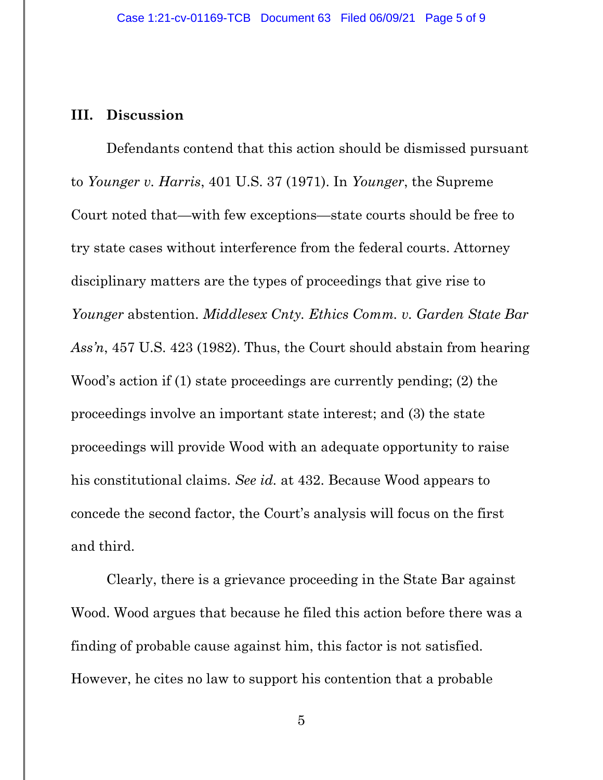### **III. Discussion**

Defendants contend that this action should be dismissed pursuant to *Younger v. Harris*, 401 U.S. 37 (1971). In *Younger*, the Supreme Court noted that—with few exceptions—state courts should be free to try state cases without interference from the federal courts. Attorney disciplinary matters are the types of proceedings that give rise to *Younger* abstention. *Middlesex Cnty. Ethics Comm. v. Garden State Bar Ass'n*, 457 U.S. 423 (1982). Thus, the Court should abstain from hearing Wood's action if (1) state proceedings are currently pending; (2) the proceedings involve an important state interest; and (3) the state proceedings will provide Wood with an adequate opportunity to raise his constitutional claims. *See id.* at 432. Because Wood appears to concede the second factor, the Court's analysis will focus on the first and third.

Clearly, there is a grievance proceeding in the State Bar against Wood. Wood argues that because he filed this action before there was a finding of probable cause against him, this factor is not satisfied. However, he cites no law to support his contention that a probable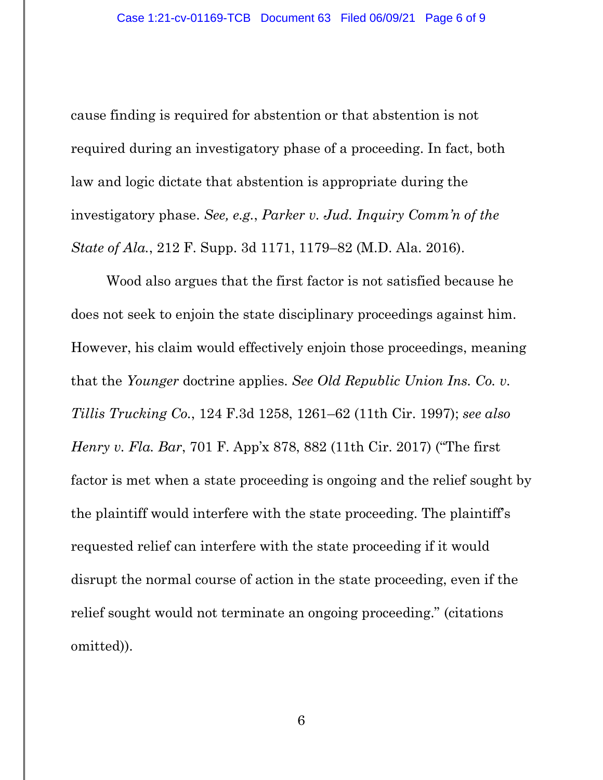cause finding is required for abstention or that abstention is not required during an investigatory phase of a proceeding. In fact, both law and logic dictate that abstention is appropriate during the investigatory phase. *See, e.g.*, *Parker v. Jud. Inquiry Comm'n of the State of Ala.*, 212 F. Supp. 3d 1171, 1179–82 (M.D. Ala. 2016).

Wood also argues that the first factor is not satisfied because he does not seek to enjoin the state disciplinary proceedings against him. However, his claim would effectively enjoin those proceedings, meaning that the *Younger* doctrine applies. *See Old Republic Union Ins. Co. v. Tillis Trucking Co.*, 124 F.3d 1258, 1261–62 (11th Cir. 1997); *see also Henry v. Fla. Bar*, 701 F. App'x 878, 882 (11th Cir. 2017) ("The first factor is met when a state proceeding is ongoing and the relief sought by the plaintiff would interfere with the state proceeding. The plaintiff's requested relief can interfere with the state proceeding if it would disrupt the normal course of action in the state proceeding, even if the relief sought would not terminate an ongoing proceeding." (citations omitted)).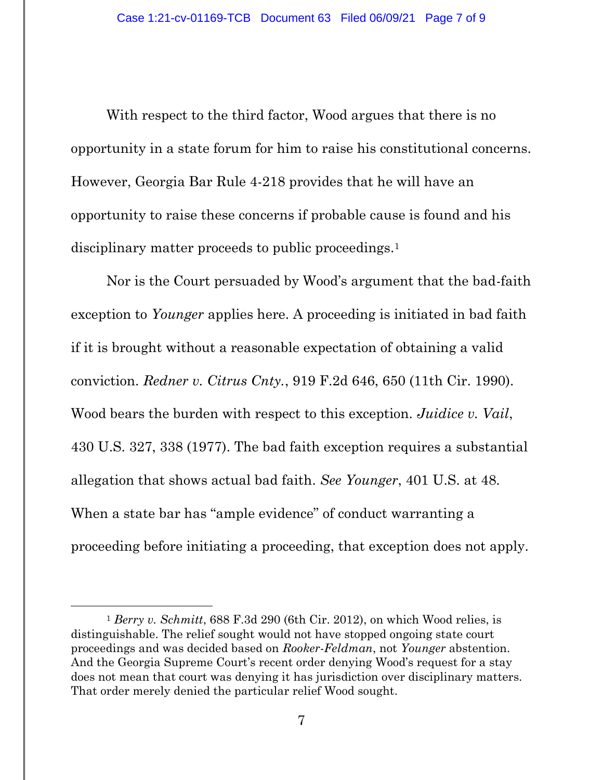With respect to the third factor, Wood argues that there is no opportunity in a state forum for him to raise his constitutional concerns. However, Georgia Bar Rule 4-218 provides that he will have an opportunity to raise these concerns if probable cause is found and his disciplinary matter proceeds to public proceedings.<sup>1</sup>

Nor is the Court persuaded by Wood's argument that the bad-faith exception to *Younger* applies here. A proceeding is initiated in bad faith if it is brought without a reasonable expectation of obtaining a valid conviction. *Redner v. Citrus Cnty.*, 919 F.2d 646, 650 (11th Cir. 1990). Wood bears the burden with respect to this exception. *Juidice v. Vail*, 430 U.S. 327, 338 (1977). The bad faith exception requires a substantial allegation that shows actual bad faith. *See Younger*, 401 U.S. at 48. When a state bar has "ample evidence" of conduct warranting a proceeding before initiating a proceeding, that exception does not apply.

<sup>1</sup> *Berry v. Schmitt*, 688 F.3d 290 (6th Cir. 2012), on which Wood relies, is distinguishable. The relief sought would not have stopped ongoing state court proceedings and was decided based on *Rooker-Feldman*, not *Younger* abstention. And the Georgia Supreme Court's recent order denying Wood's request for a stay does not mean that court was denying it has jurisdiction over disciplinary matters. That order merely denied the particular relief Wood sought.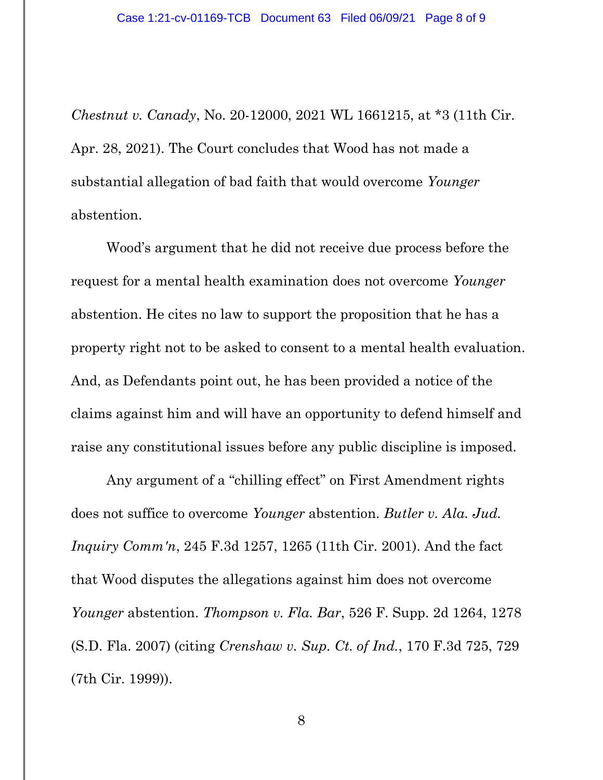*Chestnut v. Canady*, No. 20-12000, 2021 WL 1661215, at \*3 (11th Cir. Apr. 28, 2021). The Court concludes that Wood has not made a substantial allegation of bad faith that would overcome *Younger* abstention.

Wood's argument that he did not receive due process before the request for a mental health examination does not overcome *Younger* abstention. He cites no law to support the proposition that he has a property right not to be asked to consent to a mental health evaluation. And, as Defendants point out, he has been provided a notice of the claims against him and will have an opportunity to defend himself and raise any constitutional issues before any public discipline is imposed.

Any argument of a "chilling effect" on First Amendment rights does not suffice to overcome *Younger* abstention. *Butler v. Ala. Jud. Inquiry Comm'n*, 245 F.3d 1257, 1265 (11th Cir. 2001). And the fact that Wood disputes the allegations against him does not overcome *Younger* abstention. *Thompson v. Fla. Bar*, 526 F. Supp. 2d 1264, 1278 (S.D. Fla. 2007) (citing *Crenshaw v. Sup. Ct. of Ind.*, 170 F.3d 725, 729 (7th Cir. 1999)).